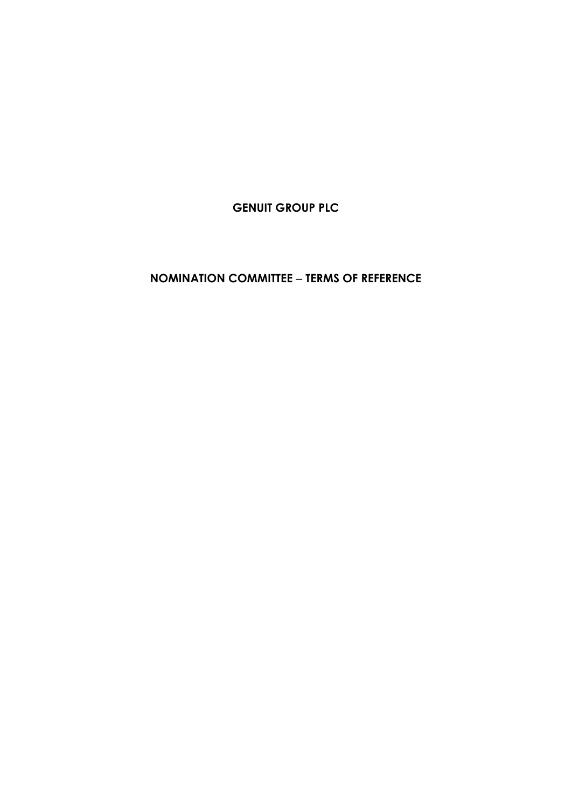**GENUIT GROUP PLC**

**NOMINATION COMMITTEE** − **TERMS OF REFERENCE**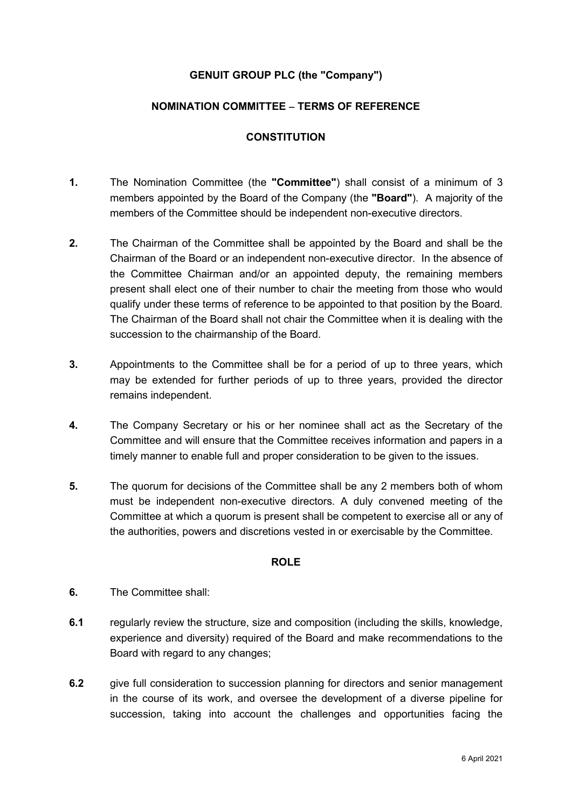# **GENUIT GROUP PLC (the "Company")**

## **NOMINATION COMMITTEE** − **TERMS OF REFERENCE**

### **CONSTITUTION**

- **1.** The Nomination Committee (the **"Committee"**) shall consist of a minimum of 3 members appointed by the Board of the Company (the **"Board"**). A majority of the members of the Committee should be independent non-executive directors.
- **2.** The Chairman of the Committee shall be appointed by the Board and shall be the Chairman of the Board or an independent non-executive director. In the absence of the Committee Chairman and/or an appointed deputy, the remaining members present shall elect one of their number to chair the meeting from those who would qualify under these terms of reference to be appointed to that position by the Board. The Chairman of the Board shall not chair the Committee when it is dealing with the succession to the chairmanship of the Board.
- **3.** Appointments to the Committee shall be for a period of up to three years, which may be extended for further periods of up to three years, provided the director remains independent.
- **4.** The Company Secretary or his or her nominee shall act as the Secretary of the Committee and will ensure that the Committee receives information and papers in a timely manner to enable full and proper consideration to be given to the issues.
- **5.** The quorum for decisions of the Committee shall be any 2 members both of whom must be independent non-executive directors. A duly convened meeting of the Committee at which a quorum is present shall be competent to exercise all or any of the authorities, powers and discretions vested in or exercisable by the Committee.

### **ROLE**

- **6.** The Committee shall:
- **6.1** regularly review the structure, size and composition (including the skills, knowledge, experience and diversity) required of the Board and make recommendations to the Board with regard to any changes;
- **6.2** give full consideration to succession planning for directors and senior management in the course of its work, and oversee the development of a diverse pipeline for succession, taking into account the challenges and opportunities facing the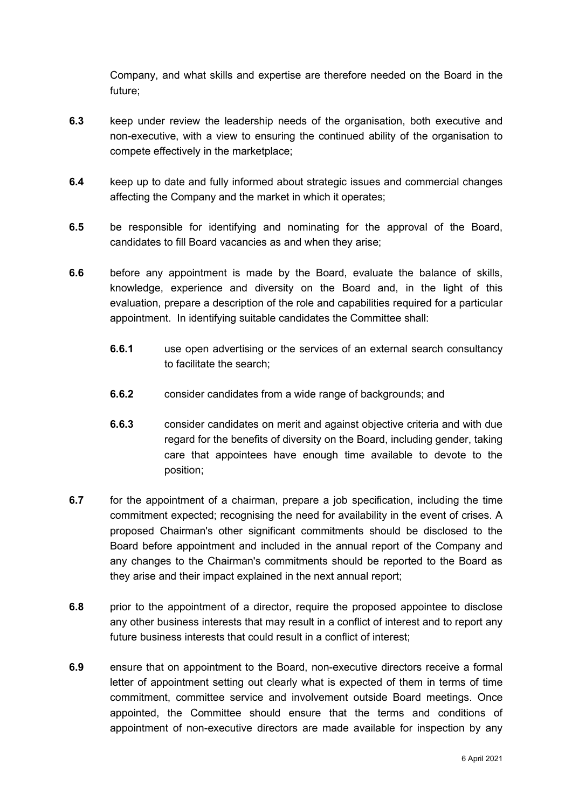Company, and what skills and expertise are therefore needed on the Board in the future;

- **6.3** keep under review the leadership needs of the organisation, both executive and non-executive, with a view to ensuring the continued ability of the organisation to compete effectively in the marketplace;
- **6.4** keep up to date and fully informed about strategic issues and commercial changes affecting the Company and the market in which it operates;
- **6.5** be responsible for identifying and nominating for the approval of the Board, candidates to fill Board vacancies as and when they arise;
- **6.6** before any appointment is made by the Board, evaluate the balance of skills, knowledge, experience and diversity on the Board and, in the light of this evaluation, prepare a description of the role and capabilities required for a particular appointment. In identifying suitable candidates the Committee shall:
	- **6.6.1** use open advertising or the services of an external search consultancy to facilitate the search;
	- **6.6.2** consider candidates from a wide range of backgrounds; and
	- **6.6.3** consider candidates on merit and against objective criteria and with due regard for the benefits of diversity on the Board, including gender, taking care that appointees have enough time available to devote to the position;
- **6.7** for the appointment of a chairman, prepare a job specification, including the time commitment expected; recognising the need for availability in the event of crises. A proposed Chairman's other significant commitments should be disclosed to the Board before appointment and included in the annual report of the Company and any changes to the Chairman's commitments should be reported to the Board as they arise and their impact explained in the next annual report;
- **6.8** prior to the appointment of a director, require the proposed appointee to disclose any other business interests that may result in a conflict of interest and to report any future business interests that could result in a conflict of interest:
- **6.9** ensure that on appointment to the Board, non-executive directors receive a formal letter of appointment setting out clearly what is expected of them in terms of time commitment, committee service and involvement outside Board meetings. Once appointed, the Committee should ensure that the terms and conditions of appointment of non-executive directors are made available for inspection by any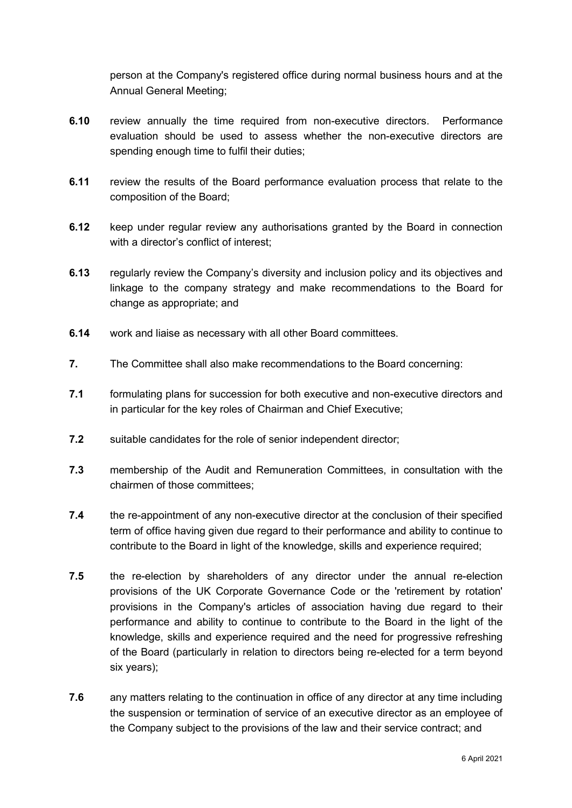person at the Company's registered office during normal business hours and at the Annual General Meeting;

- **6.10** review annually the time required from non-executive directors. Performance evaluation should be used to assess whether the non-executive directors are spending enough time to fulfil their duties;
- **6.11** review the results of the Board performance evaluation process that relate to the composition of the Board;
- **6.12** keep under regular review any authorisations granted by the Board in connection with a director's conflict of interest;
- **6.13** regularly review the Company's diversity and inclusion policy and its objectives and linkage to the company strategy and make recommendations to the Board for change as appropriate; and
- **6.14** work and liaise as necessary with all other Board committees.
- **7.** The Committee shall also make recommendations to the Board concerning:
- **7.1** formulating plans for succession for both executive and non-executive directors and in particular for the key roles of Chairman and Chief Executive;
- **7.2** suitable candidates for the role of senior independent director;
- **7.3** membership of the Audit and Remuneration Committees, in consultation with the chairmen of those committees;
- **7.4** the re-appointment of any non-executive director at the conclusion of their specified term of office having given due regard to their performance and ability to continue to contribute to the Board in light of the knowledge, skills and experience required;
- **7.5** the re-election by shareholders of any director under the annual re-election provisions of the UK Corporate Governance Code or the 'retirement by rotation' provisions in the Company's articles of association having due regard to their performance and ability to continue to contribute to the Board in the light of the knowledge, skills and experience required and the need for progressive refreshing of the Board (particularly in relation to directors being re-elected for a term beyond six years);
- **7.6** any matters relating to the continuation in office of any director at any time including the suspension or termination of service of an executive director as an employee of the Company subject to the provisions of the law and their service contract; and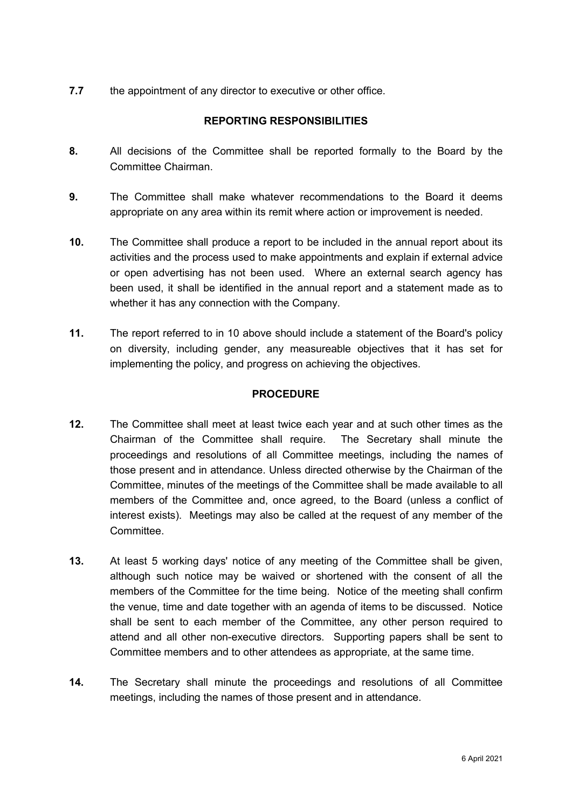**7.7** the appointment of any director to executive or other office.

# **REPORTING RESPONSIBILITIES**

- **8.** All decisions of the Committee shall be reported formally to the Board by the Committee Chairman.
- **9.** The Committee shall make whatever recommendations to the Board it deems appropriate on any area within its remit where action or improvement is needed.
- **10.** The Committee shall produce a report to be included in the annual report about its activities and the process used to make appointments and explain if external advice or open advertising has not been used. Where an external search agency has been used, it shall be identified in the annual report and a statement made as to whether it has any connection with the Company.
- **11.** The report referred to in 10 above should include a statement of the Board's policy on diversity, including gender, any measureable objectives that it has set for implementing the policy, and progress on achieving the objectives.

# **PROCEDURE**

- **12.** The Committee shall meet at least twice each year and at such other times as the Chairman of the Committee shall require. The Secretary shall minute the proceedings and resolutions of all Committee meetings, including the names of those present and in attendance. Unless directed otherwise by the Chairman of the Committee, minutes of the meetings of the Committee shall be made available to all members of the Committee and, once agreed, to the Board (unless a conflict of interest exists). Meetings may also be called at the request of any member of the Committee.
- **13.** At least 5 working days' notice of any meeting of the Committee shall be given, although such notice may be waived or shortened with the consent of all the members of the Committee for the time being. Notice of the meeting shall confirm the venue, time and date together with an agenda of items to be discussed. Notice shall be sent to each member of the Committee, any other person required to attend and all other non-executive directors. Supporting papers shall be sent to Committee members and to other attendees as appropriate, at the same time.
- **14.** The Secretary shall minute the proceedings and resolutions of all Committee meetings, including the names of those present and in attendance.